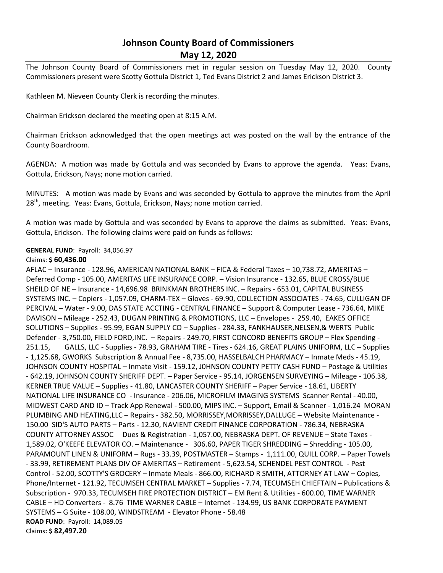## **Johnson County Board of Commissioners May 12, 2020**

The Johnson County Board of Commissioners met in regular session on Tuesday May 12, 2020. County Commissioners present were Scotty Gottula District 1, Ted Evans District 2 and James Erickson District 3.

Kathleen M. Nieveen County Clerk is recording the minutes.

Chairman Erickson declared the meeting open at 8:15 A.M.

Chairman Erickson acknowledged that the open meetings act was posted on the wall by the entrance of the County Boardroom.

AGENDA: A motion was made by Gottula and was seconded by Evans to approve the agenda. Yeas: Evans, Gottula, Erickson, Nays; none motion carried.

MINUTES: A motion was made by Evans and was seconded by Gottula to approve the minutes from the April 28<sup>th</sup>, meeting. Yeas: Evans, Gottula, Erickson, Nays; none motion carried.

A motion was made by Gottula and was seconded by Evans to approve the claims as submitted. Yeas: Evans, Gottula, Erickson. The following claims were paid on funds as follows:

## **GENERAL FUND**: Payroll: 34,056.97

## Claims: **\$ 60,436.00**

AFLAC – Insurance - 128.96, AMERICAN NATIONAL BANK – FICA & Federal Taxes – 10,738.72, AMERITAS – Deferred Comp - 105.00, AMERITAS LIFE INSURANCE CORP. – Vision Insurance - 132.65, BLUE CROSS/BLUE SHEILD OF NE – Insurance - 14,696.98 BRINKMAN BROTHERS INC. – Repairs - 653.01, CAPITAL BUSINESS SYSTEMS INC. – Copiers - 1,057.09, CHARM-TEX – Gloves - 69.90, COLLECTION ASSOCIATES - 74.65, CULLIGAN OF PERCIVAL – Water - 9.00, DAS STATE ACCTING - CENTRAL FINANCE – Support & Computer Lease - 736.64, MIKE DAVISON – Mileage - 252.43, DUGAN PRINTING & PROMOTIONS, LLC – Envelopes - 259.40, EAKES OFFICE SOLUTIONS – Supplies - 95.99, EGAN SUPPLY CO – Supplies - 284.33, FANKHAUSER,NELSEN,& WERTS Public Defender - 3,750.00, FIELD FORD,INC. – Repairs - 249.70, FIRST CONCORD BENEFITS GROUP – Flex Spending - 251.15, GALLS, LLC - Supplies - 78.93, GRAHAM TIRE - Tires - 624.16, GREAT PLAINS UNIFORM, LLC – Supplies - 1,125.68, GWORKS Subscription & Annual Fee - 8,735.00, HASSELBALCH PHARMACY – Inmate Meds - 45.19, JOHNSON COUNTY HOSPITAL – Inmate Visit - 159.12, J0HNSON COUNTY PETTY CASH FUND – Postage & Utilities - 642.19, JOHNSON COUNTY SHERIFF DEPT. – Paper Service - 95.14, JORGENSEN SURVEYING – Mileage - 106.38, KERNER TRUE VALUE – Supplies - 41.80, LANCASTER COUNTY SHERIFF – Paper Service - 18.61, LIBERTY NATIONAL LIFE INSURANCE CO - Insurance - 206.06, MICROFILM IMAGING SYSTEMS Scanner Rental - 40.00, MIDWEST CARD AND ID – Track App Renewal - 500.00, MIPS INC. – Support, Email & Scanner - 1,016.24 MORAN PLUMBING AND HEATING,LLC – Repairs - 382.50, MORRISSEY,MORRISSEY,DALLUGE – Website Maintenance - 150.00 SID'S AUTO PARTS – Parts - 12.30, NAVIENT CREDIT FINANCE CORPORATION - 786.34, NEBRASKA COUNTY ATTORNEY ASSOC Dues & Registration - 1,057.00, NEBRASKA DEPT. OF REVENUE – State Taxes - 1,589.02, O'KEEFE ELEVATOR CO. – Maintenance - 306.60, PAPER TIGER SHREDDING – Shredding - 105.00, PARAMOUNT LINEN & UNIFORM – Rugs - 33.39, POSTMASTER – Stamps - 1,111.00, QUILL CORP. – Paper Towels - 33.99, RETIREMENT PLANS DIV OF AMERITAS – Retirement - 5,623.54, SCHENDEL PEST CONTROL - Pest Control - 52.00, SCOTTY'S GROCERY – Inmate Meals - 866.00, RICHARD R SMITH, ATTORNEY AT LAW – Copies, Phone/Internet - 121.92, TECUMSEH CENTRAL MARKET – Supplies - 7.74, TECUMSEH CHIEFTAIN – Publications & Subscription - 970.33, TECUMSEH FIRE PROTECTION DISTRICT – EM Rent & Utilities - 600.00, TIME WARNER CABLE – HD Converters - 8.76 TIME WARNER CABLE – Internet - 134.99, US BANK CORPORATE PAYMENT SYSTEMS – G Suite - 108.00, WINDSTREAM - Elevator Phone - 58.48 **ROAD FUND**: Payroll: 14,089.05 Claims**: \$ 82,497.20**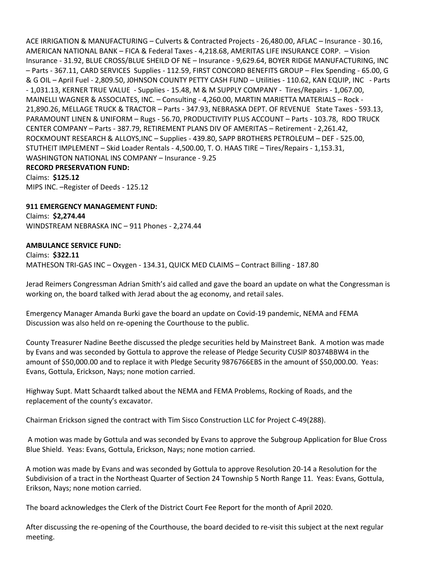ACE IRRIGATION & MANUFACTURING – Culverts & Contracted Projects - 26,480.00, AFLAC – Insurance - 30.16, AMERICAN NATIONAL BANK – FICA & Federal Taxes - 4,218.68, AMERITAS LIFE INSURANCE CORP. – Vision Insurance - 31.92, BLUE CROSS/BLUE SHEILD OF NE – Insurance - 9,629.64, BOYER RIDGE MANUFACTURING, INC – Parts - 367.11, CARD SERVICES Supplies - 112.59, FIRST CONCORD BENEFITS GROUP – Flex Spending - 65.00, G & G OIL – April Fuel - 2,809.50, J0HNSON COUNTY PETTY CASH FUND – Utilities - 110.62, KAN EQUIP, INC - Parts - 1,031.13, KERNER TRUE VALUE - Supplies - 15.48, M & M SUPPLY COMPANY - Tires/Repairs - 1,067.00, MAINELLI WAGNER & ASSOCIATES, INC. – Consulting - 4,260.00, MARTIN MARIETTA MATERIALS – Rock - 21,890.26, MELLAGE TRUCK & TRACTOR – Parts - 347.93, NEBRASKA DEPT. OF REVENUE State Taxes - 593.13, PARAMOUNT LINEN & UNIFORM – Rugs - 56.70, PRODUCTIVITY PLUS ACCOUNT – Parts - 103.78, RDO TRUCK CENTER COMPANY – Parts - 387.79, RETIREMENT PLANS DIV OF AMERITAS – Retirement - 2,261.42, ROCKMOUNT RESEARCH & ALLOYS,INC – Supplies - 439.80, SAPP BROTHERS PETROLEUM – DEF - 525.00, STUTHEIT IMPLEMENT – Skid Loader Rentals - 4,500.00, T. O. HAAS TIRE – Tires/Repairs - 1,153.31, WASHINGTON NATIONAL INS COMPANY – Insurance - 9.25 **RECORD PRESERVATION FUND:** Claims: **\$125.12** MIPS INC. –Register of Deeds - 125.12

**911 EMERGENCY MANAGEMENT FUND:** Claims: **\$2,274.44** WINDSTREAM NEBRASKA INC – 911 Phones - 2,274.44

## **AMBULANCE SERVICE FUND:**

Claims: **\$322.11** MATHESON TRI-GAS INC – Oxygen - 134.31, QUICK MED CLAIMS – Contract Billing - 187.80

Jerad Reimers Congressman Adrian Smith's aid called and gave the board an update on what the Congressman is working on, the board talked with Jerad about the ag economy, and retail sales.

Emergency Manager Amanda Burki gave the board an update on Covid-19 pandemic, NEMA and FEMA Discussion was also held on re-opening the Courthouse to the public.

County Treasurer Nadine Beethe discussed the pledge securities held by Mainstreet Bank. A motion was made by Evans and was seconded by Gottula to approve the release of Pledge Security CUSIP 80374BBW4 in the amount of \$50,000.00 and to replace it with Pledge Security 9876766EBS in the amount of \$50,000.00. Yeas: Evans, Gottula, Erickson, Nays; none motion carried.

Highway Supt. Matt Schaardt talked about the NEMA and FEMA Problems, Rocking of Roads, and the replacement of the county's excavator.

Chairman Erickson signed the contract with Tim Sisco Construction LLC for Project C-49(288).

A motion was made by Gottula and was seconded by Evans to approve the Subgroup Application for Blue Cross Blue Shield. Yeas: Evans, Gottula, Erickson, Nays; none motion carried.

A motion was made by Evans and was seconded by Gottula to approve Resolution 20-14 a Resolution for the Subdivision of a tract in the Northeast Quarter of Section 24 Township 5 North Range 11. Yeas: Evans, Gottula, Erikson, Nays; none motion carried.

The board acknowledges the Clerk of the District Court Fee Report for the month of April 2020.

After discussing the re-opening of the Courthouse, the board decided to re-visit this subject at the next regular meeting.